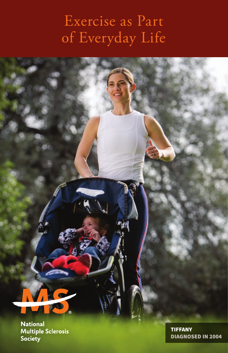## Exercise as Part of Everyday Life

**National Multiple Sclerosis** Society

TIFFANY DIAGNOSED IN 2004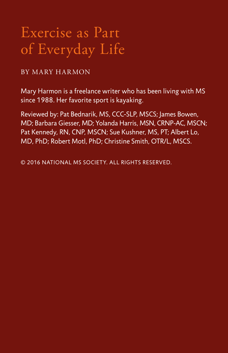## Exercise as Part of Everyday Life

#### BY MARY HARMON

Mary Harmon is a freelance writer who has been living with MS since 1988. Her favorite sport is kayaking.

Reviewed by: Pat Bednarik, MS, CCC-SLP, MSCS; James Bowen, MD; Barbara Giesser, MD; Yolanda Harris, MSN, CRNP-AC, MSCN; Pat Kennedy, RN, CNP, MSCN; Sue Kushner, MS, PT; Albert Lo, MD, PhD; Robert Motl, PhD; Christine Smith, OTR/L, MSCS.

© 2016 NATIONAL MS SOCIETY. ALL RIGHTS RESERVED.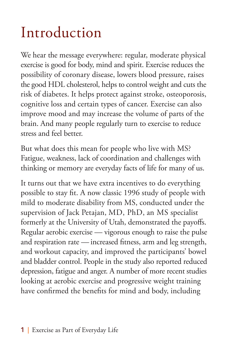# Introduction

We hear the message everywhere: regular, moderate physical exercise is good for body, mind and spirit. Exercise reduces the possibility of coronary disease, lowers blood pressure, raises the good HDL cholesterol, helps to control weight and cuts the risk of diabetes. It helps protect against stroke, osteoporosis, cognitive loss and certain types of cancer. Exercise can also improve mood and may increase the volume of parts of the brain. And many people regularly turn to exercise to reduce stress and feel better.

But what does this mean for people who live with MS? Fatigue, weakness, lack of coordination and challenges with thinking or memory are everyday facts of life for many of us.

It turns out that we have extra incentives to do everything possible to stay fit. A now classic 1996 study of people with mild to moderate disability from MS, conducted under the supervision of Jack Petajan, MD, PhD, an MS specialist formerly at the University of Utah, demonstrated the payoffs. Regular aerobic exercise — vigorous enough to raise the pulse and respiration rate — increased fitness, arm and leg strength, and workout capacity, and improved the participants' bowel and bladder control. People in the study also reported reduced depression, fatigue and anger. A number of more recent studies looking at aerobic exercise and progressive weight training have confirmed the benefits for mind and body, including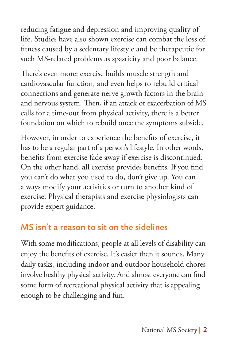reducing fatigue and depression and improving quality of life. Studies have also shown exercise can combat the loss of fitness caused by a sedentary lifestyle and be therapeutic for such MS-related problems as spasticity and poor balance.

There's even more: exercise builds muscle strength and cardiovascular function, and even helps to rebuild critical connections and generate nerve growth factors in the brain and nervous system. Then, if an attack or exacerbation of MS calls for a time-out from physical activity, there is a better foundation on which to rebuild once the symptoms subside.

However, in order to experience the benefits of exercise, it has to be a regular part of a person's lifestyle. In other words, benefits from exercise fade away if exercise is discontinued. On the other hand, **all** exercise provides benefits. If you find you can't do what you used to do, don't give up. You can always modify your activities or turn to another kind of exercise. Physical therapists and exercise physiologists can provide expert guidance.

#### MS isn't a reason to sit on the sidelines

With some modifications, people at all levels of disability can enjoy the benefits of exercise. It's easier than it sounds. Many daily tasks, including indoor and outdoor household chores involve healthy physical activity. And almost everyone can find some form of recreational physical activity that is appealing enough to be challenging and fun.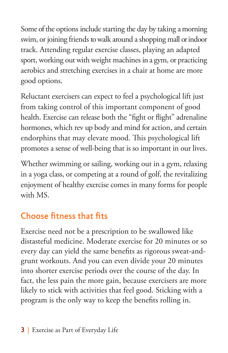Some of the options include starting the day by taking a morning swim, or joining friends to walk around a shopping mall or indoor track. Attending regular exercise classes, playing an adapted sport, working out with weight machines in a gym, or practicing aerobics and stretching exercises in a chair at home are more good options.

Reluctant exercisers can expect to feel a psychological lift just from taking control of this important component of good health. Exercise can release both the "fight or flight" adrenaline hormones, which rev up body and mind for action, and certain endorphins that may elevate mood. This psychological lift promotes a sense of well-being that is so important in our lives.

Whether swimming or sailing, working out in a gym, relaxing in a yoga class, or competing at a round of golf, the revitalizing enjoyment of healthy exercise comes in many forms for people with MS.

### Choose fitness that fits

Exercise need not be a prescription to be swallowed like distasteful medicine. Moderate exercise for 20 minutes or so every day can yield the same benefits as rigorous sweat-andgrunt workouts. And you can even divide your 20 minutes into shorter exercise periods over the course of the day. In fact, the less pain the more gain, because exercisers are more likely to stick with activities that feel good. Sticking with a program is the only way to keep the benefits rolling in.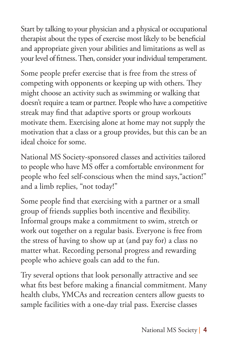Start by talking to your physician and a physical or occupational therapist about the types of exercise most likely to be beneficial and appropriate given your abilities and limitations as well as your level of fitness. Then, consider your individual temperament.

Some people prefer exercise that is free from the stress of competing with opponents or keeping up with others. They might choose an activity such as swimming or walking that doesn't require a team or partner. People who have a competitive streak may find that adaptive sports or group workouts motivate them. Exercising alone at home may not supply the motivation that a class or a group provides, but this can be an ideal choice for some.

National MS Society-sponsored classes and activities tailored to people who have MS offer a comfortable environment for people who feel self-conscious when the mind says,"action!" and a limb replies, "not today!"

Some people find that exercising with a partner or a small group of friends supplies both incentive and flexibility. Informal groups make a commitment to swim, stretch or work out together on a regular basis. Everyone is free from the stress of having to show up at (and pay for) a class no matter what. Recording personal progress and rewarding people who achieve goals can add to the fun.

Try several options that look personally attractive and see what fits best before making a financial commitment. Many health clubs, YMCAs and recreation centers allow guests to sample facilities with a one-day trial pass. Exercise classes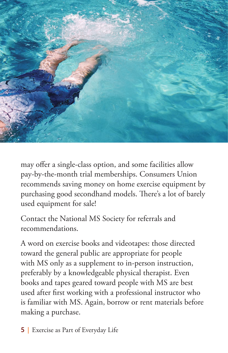

may offer a single-class option, and some facilities allow pay-by-the-month trial memberships. Consumers Union recommends saving money on home exercise equipment by purchasing good secondhand models. There's a lot of barely used equipment for sale!

Contact the National MS Society for referrals and recommendations.

A word on exercise books and videotapes: those directed toward the general public are appropriate for people with MS only as a supplement to in-person instruction, preferably by a knowledgeable physical therapist. Even books and tapes geared toward people with MS are best used after first working with a professional instructor who is familiar with MS. Again, borrow or rent materials before making a purchase.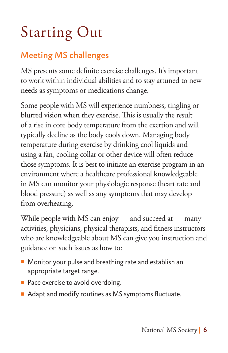# Starting Out

### Meeting MS challenges

MS presents some definite exercise challenges. It's important to work within individual abilities and to stay attuned to new needs as symptoms or medications change.

Some people with MS will experience numbness, tingling or blurred vision when they exercise. This is usually the result of a rise in core body temperature from the exertion and will typically decline as the body cools down. Managing body temperature during exercise by drinking cool liquids and using a fan, cooling collar or other device will often reduce those symptoms. It is best to initiate an exercise program in an environment where a healthcare professional knowledgeable in MS can monitor your physiologic response (heart rate and blood pressure) as well as any symptoms that may develop from overheating.

While people with MS can enjoy — and succeed at — many activities, physicians, physical therapists, and fitness instructors who are knowledgeable about MS can give you instruction and guidance on such issues as how to:

- $\blacksquare$  Monitor your pulse and breathing rate and establish an appropriate target range.
- $\blacksquare$  Pace exercise to avoid overdoing.
- Adapt and modify routines as MS symptoms fluctuate.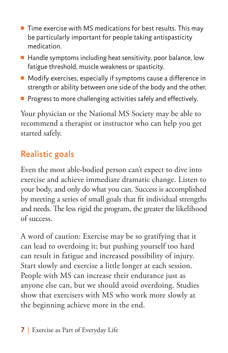- $\blacksquare$  Time exercise with MS medications for best results. This may be particularly important for people taking antispasticity medication.
- $\blacksquare$  Handle symptoms including heat sensitivity, poor balance, low fatigue threshold, muscle weakness or spasticity.
- $\blacksquare$  Modify exercises, especially if symptoms cause a difference in strength or ability between one side of the body and the other.
- $\blacksquare$  Progress to more challenging activities safely and effectively.

Your physician or the National MS Society may be able to recommend a therapist or instructor who can help you get started safely.

### Realistic goals

Even the most able-bodied person can't expect to dive into exercise and achieve immediate dramatic change. Listen to your body, and only do what you can. Success is accomplished by meeting a series of small goals that fit individual strengths and needs. The less rigid the program, the greater the likelihood of success.

A word of caution: Exercise may be so gratifying that it can lead to overdoing it; but pushing yourself too hard can result in fatigue and increased possibility of injury. Start slowly and exercise a little longer at each session. People with MS can increase their endurance just as anyone else can, but we should avoid overdoing. Studies show that exercisers with MS who work more slowly at the beginning achieve more in the end.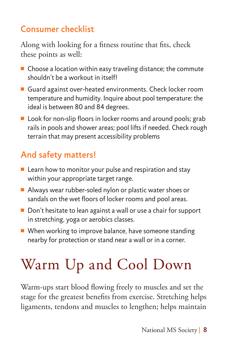## Consumer checklist

Along with looking for a fitness routine that fits, check these points as well:

- $\blacksquare$  Choose a location within easy traveling distance; the commute shouldn't be a workout in itself!
- Guard against over-heated environments. Check locker room temperature and humidity. Inquire about pool temperature: the ideal is between 80 and 84 degrees.
- $\blacksquare$  Look for non-slip floors in locker rooms and around pools; grab rails in pools and shower areas; pool lifts if needed. Check rough terrain that may present accessibility problems

## And safety matters!

- $\blacksquare$  Learn how to monitor your pulse and respiration and stay within your appropriate target range.
- $\blacksquare$  Always wear rubber-soled nylon or plastic water shoes or sandals on the wet floors of locker rooms and pool areas.
- $\blacksquare$  Don't hesitate to lean against a wall or use a chair for support in stretching, yoga or aerobics classes.
- $\blacksquare$  When working to improve balance, have someone standing nearby for protection or stand near a wall or in a corner.

# Warm Up and Cool Down

Warm-ups start blood flowing freely to muscles and set the stage for the greatest benefits from exercise. Stretching helps ligaments, tendons and muscles to lengthen; helps maintain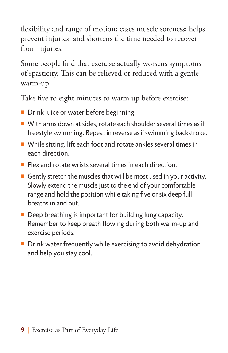flexibility and range of motion; eases muscle soreness; helps prevent injuries; and shortens the time needed to recover from injuries.

Some people find that exercise actually worsens symptoms of spasticity. This can be relieved or reduced with a gentle warm-up.

Take five to eight minutes to warm up before exercise:

- **Drink juice or water before beginning.**
- $\blacksquare$  With arms down at sides, rotate each shoulder several times as if freestyle swimming. Repeat in reverse as if swimming backstroke.
- $\blacksquare$  While sitting, lift each foot and rotate ankles several times in each direction.
- $\blacksquare$  Flex and rotate wrists several times in each direction.
- Gently stretch the muscles that will be most used in your activity. Slowly extend the muscle just to the end of your comfortable range and hold the position while taking five or six deep full breaths in and out.
- $\blacksquare$  Deep breathing is important for building lung capacity. Remember to keep breath flowing during both warm-up and exercise periods.
- $\blacksquare$  Drink water frequently while exercising to avoid dehydration and help you stay cool.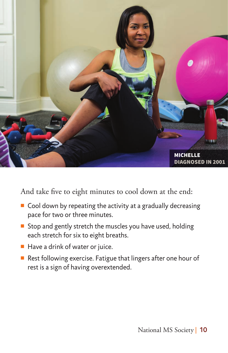

And take five to eight minutes to cool down at the end:

- $\blacksquare$  Cool down by repeating the activity at a gradually decreasing pace for two or three minutes.
- Stop and gently stretch the muscles you have used, holding each stretch for six to eight breaths.
- $\blacksquare$  Have a drink of water or juice.
- Rest following exercise. Fatigue that lingers after one hour of rest is a sign of having overextended.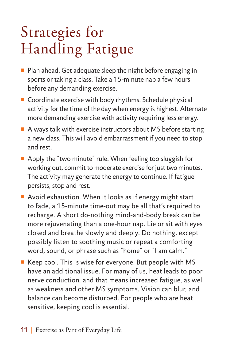## Strategies for Handling Fatigue

- $\blacksquare$  Plan ahead. Get adequate sleep the night before engaging in sports or taking a class. Take a 15-minute nap a few hours before any demanding exercise.
- $\blacksquare$  Coordinate exercise with body rhythms. Schedule physical activity for the time of the day when energy is highest. Alternate more demanding exercise with activity requiring less energy.
- $\blacksquare$  Always talk with exercise instructors about MS before starting a new class. This will avoid embarrassment if you need to stop and rest.
- Apply the "two minute" rule: When feeling too sluggish for working out, commit to moderate exercise for just two minutes. The activity may generate the energy to continue. If fatigue persists, stop and rest.
- $\blacksquare$  Avoid exhaustion. When it looks as if energy might start to fade, a 15-minute time-out may be all that's required to recharge. A short do-nothing mind-and-body break can be more rejuvenating than a one-hour nap. Lie or sit with eyes closed and breathe slowly and deeply. Do nothing, except possibly listen to soothing music or repeat a comforting word, sound, or phrase such as "home" or "I am calm."
- $\blacksquare$  Keep cool. This is wise for everyone. But people with MS have an additional issue. For many of us, heat leads to poor nerve conduction, and that means increased fatigue, as well as weakness and other MS symptoms. Vision can blur, and balance can become disturbed. For people who are heat sensitive, keeping cool is essential.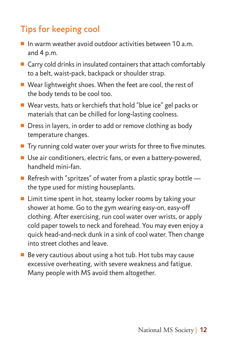## Tips for keeping cool

- $\blacksquare$  In warm weather avoid outdoor activities between 10 a.m. and 4 p.m.
- $\blacksquare$  Carry cold drinks in insulated containers that attach comfortably to a belt, waist-pack, backpack or shoulder strap.
- $\blacksquare$  Wear lightweight shoes. When the feet are cool, the rest of the body tends to be cool too.
- Wear vests, hats or kerchiefs that hold "blue ice" gel packs or materials that can be chilled for long-lasting coolness.
- Dress in layers, in order to add or remove clothing as body temperature changes.
- $\blacksquare$  Try running cold water over your wrists for three to five minutes.
- Use air conditioners, electric fans, or even a battery-powered, handheld mini-fan.
- Refresh with "spritzes" of water from a plastic spray bottle  $$ the type used for misting houseplants.
- $\blacksquare$  Limit time spent in hot, steamy locker rooms by taking your shower at home. Go to the gym wearing easy-on, easy-off clothing. After exercising, run cool water over wrists, or apply cold paper towels to neck and forehead. You may even enjoy a quick head-and-neck dunk in a sink of cool water. Then change into street clothes and leave.
- $\blacksquare$  Be very cautious about using a hot tub. Hot tubs may cause excessive overheating, with severe weakness and fatigue. Many people with MS avoid them altogether.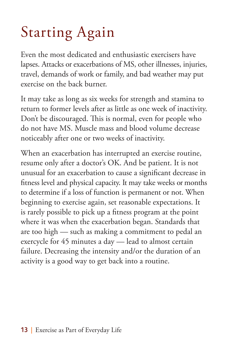# Starting Again

Even the most dedicated and enthusiastic exercisers have lapses. Attacks or exacerbations of MS, other illnesses, injuries, travel, demands of work or family, and bad weather may put exercise on the back burner.

It may take as long as six weeks for strength and stamina to return to former levels after as little as one week of inactivity. Don't be discouraged. This is normal, even for people who do not have MS. Muscle mass and blood volume decrease noticeably after one or two weeks of inactivity.

When an exacerbation has interrupted an exercise routine, resume only after a doctor's OK. And be patient. It is not unusual for an exacerbation to cause a significant decrease in fitness level and physical capacity. It may take weeks or months to determine if a loss of function is permanent or not. When beginning to exercise again, set reasonable expectations. It is rarely possible to pick up a fitness program at the point where it was when the exacerbation began. Standards that are too high — such as making a commitment to pedal an exercycle for 45 minutes a day — lead to almost certain failure. Decreasing the intensity and/or the duration of an activity is a good way to get back into a routine.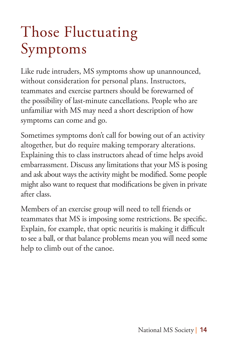## Those Fluctuating Symptoms

Like rude intruders, MS symptoms show up unannounced, without consideration for personal plans. Instructors, teammates and exercise partners should be forewarned of the possibility of last-minute cancellations. People who are unfamiliar with MS may need a short description of how symptoms can come and go.

Sometimes symptoms don't call for bowing out of an activity altogether, but do require making temporary alterations. Explaining this to class instructors ahead of time helps avoid embarrassment. Discuss any limitations that your MS is posing and ask about ways the activity might be modified. Some people might also want to request that modifications be given in private after class.

Members of an exercise group will need to tell friends or teammates that MS is imposing some restrictions. Be specific. Explain, for example, that optic neuritis is making it difficult to see a ball, or that balance problems mean you will need some help to climb out of the canoe.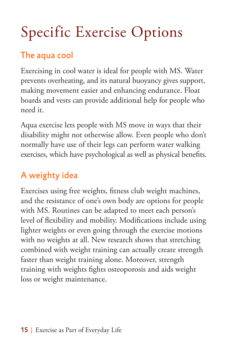# Specific Exercise Options

## The aqua cool

Exercising in cool water is ideal for people with MS. Water prevents overheating, and its natural buoyancy gives support, making movement easier and enhancing endurance. Float boards and vests can provide additional help for people who need it.

Aqua exercise lets people with MS move in ways that their disability might not otherwise allow. Even people who don't normally have use of their legs can perform water walking exercises, which have psychological as well as physical benefits.

## A weighty idea

Exercises using free weights, fitness club weight machines, and the resistance of one's own body are options for people with MS. Routines can be adapted to meet each person's level of flexibility and mobility. Modifications include using lighter weights or even going through the exercise motions with no weights at all. New research shows that stretching combined with weight training can actually create strength faster than weight training alone. Moreover, strength training with weights fights osteoporosis and aids weight loss or weight maintenance.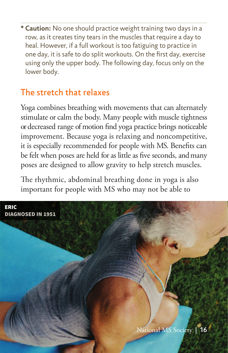**\* Caution:** No one should practice weight training two days in a row, as it creates tiny tears in the muscles that require a day to heal. However, if a full workout is too fatiguing to practice in one day, it is safe to do split workouts. On the first day, exercise using only the upper body. The following day, focus only on the lower body.

#### The stretch that relaxes

Yoga combines breathing with movements that can alternately stimulate or calm the body. Many people with muscle tightness or decreased range of motion find yoga practice brings noticeable improvement. Because yoga is relaxing and noncompetitive, it is especially recommended for people with MS. Benefits can be felt when poses are held for as little as five seconds, and many poses are designed to allow gravity to help stretch muscles.

The rhythmic, abdominal breathing done in yoga is also important for people with MS who may not be able to

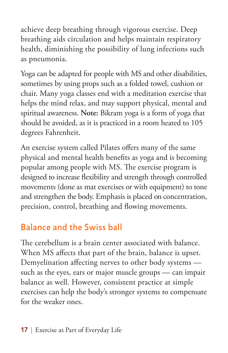achieve deep breathing through vigorous exercise. Deep breathing aids circulation and helps maintain respiratory health, diminishing the possibility of lung infections such as pneumonia.

Yoga can be adapted for people with MS and other disabilities, sometimes by using props such as a folded towel, cushion or chair. Many yoga classes end with a meditation exercise that helps the mind relax, and may support physical, mental and spiritual awareness. **Note:** Bikram yoga is a form of yoga that should be avoided, as it is practiced in a room heated to 105 degrees Fahrenheit.

An exercise system called Pilates offers many of the same physical and mental health benefits as yoga and is becoming popular among people with MS. The exercise program is designed to increase flexibility and strength through controlled movements (done as mat exercises or with equipment) to tone and strengthen the body. Emphasis is placed on concentration, precision, control, breathing and flowing movements.

#### Balance and the Swiss ball

The cerebellum is a brain center associated with balance. When MS affects that part of the brain, balance is upset. Demyelination affecting nerves to other body systems such as the eyes, ears or major muscle groups — can impair balance as well. However, consistent practice at simple exercises can help the body's stronger systems to compensate for the weaker ones.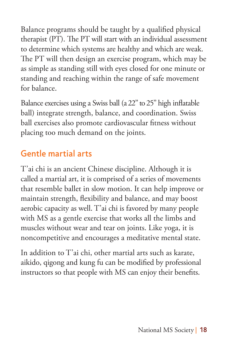Balance programs should be taught by a qualified physical therapist (PT). The PT will start with an individual assessment to determine which systems are healthy and which are weak. The PT will then design an exercise program, which may be as simple as standing still with eyes closed for one minute or standing and reaching within the range of safe movement for balance.

Balance exercises using a Swiss ball (a 22" to 25" high inflatable ball) integrate strength, balance, and coordination. Swiss ball exercises also promote cardiovascular fitness without placing too much demand on the joints.

### Gentle martial arts

T'ai chi is an ancient Chinese discipline. Although it is called a martial art, it is comprised of a series of movements that resemble ballet in slow motion. It can help improve or maintain strength, flexibility and balance, and may boost aerobic capacity as well. T'ai chi is favored by many people with MS as a gentle exercise that works all the limbs and muscles without wear and tear on joints. Like yoga, it is noncompetitive and encourages a meditative mental state.

In addition to T'ai chi, other martial arts such as karate, aikido, qigong and kung fu can be modified by professional instructors so that people with MS can enjoy their benefits.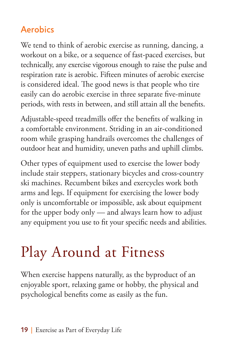### Aerobics

We tend to think of aerobic exercise as running, dancing, a workout on a bike, or a sequence of fast-paced exercises, but technically, any exercise vigorous enough to raise the pulse and respiration rate is aerobic. Fifteen minutes of aerobic exercise is considered ideal. The good news is that people who tire easily can do aerobic exercise in three separate five-minute periods, with rests in between, and still attain all the benefits.

Adjustable-speed treadmills offer the benefits of walking in a comfortable environment. Striding in an air-conditioned room while grasping handrails overcomes the challenges of outdoor heat and humidity, uneven paths and uphill climbs.

Other types of equipment used to exercise the lower body include stair steppers, stationary bicycles and cross-country ski machines. Recumbent bikes and exercycles work both arms and legs. If equipment for exercising the lower body only is uncomfortable or impossible, ask about equipment for the upper body only — and always learn how to adjust any equipment you use to fit your specific needs and abilities.

# Play Around at Fitness

When exercise happens naturally, as the byproduct of an enjoyable sport, relaxing game or hobby, the physical and psychological benefits come as easily as the fun.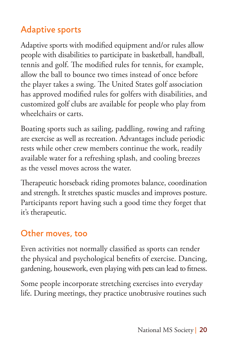## Adaptive sports

Adaptive sports with modified equipment and/or rules allow people with disabilities to participate in basketball, handball, tennis and golf. The modified rules for tennis, for example, allow the ball to bounce two times instead of once before the player takes a swing. The United States golf association has approved modified rules for golfers with disabilities, and customized golf clubs are available for people who play from wheelchairs or carts.

Boating sports such as sailing, paddling, rowing and rafting are exercise as well as recreation. Advantages include periodic rests while other crew members continue the work, readily available water for a refreshing splash, and cooling breezes as the vessel moves across the water.

Therapeutic horseback riding promotes balance, coordination and strength. It stretches spastic muscles and improves posture. Participants report having such a good time they forget that it's therapeutic.

#### Other moves, too

Even activities not normally classified as sports can render the physical and psychological benefits of exercise. Dancing, gardening, housework, even playing with pets can lead to fitness.

Some people incorporate stretching exercises into everyday life. During meetings, they practice unobtrusive routines such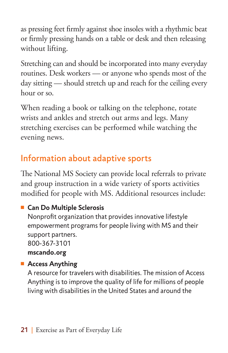as pressing feet firmly against shoe insoles with a rhythmic beat or firmly pressing hands on a table or desk and then releasing without lifting.

Stretching can and should be incorporated into many everyday routines. Desk workers — or anyone who spends most of the day sitting — should stretch up and reach for the ceiling every hour or so.

When reading a book or talking on the telephone, rotate wrists and ankles and stretch out arms and legs. Many stretching exercises can be performed while watching the evening news.

## Information about adaptive sports

The National MS Society can provide local referrals to private and group instruction in a wide variety of sports activities modified for people with MS. Additional resources include:

#### ■ Can Do Multiple Sclerosis

Nonprofit organization that provides innovative lifestyle empowerment programs for people living with MS and their support partners. 800-367-3101

**mscando.org**

#### **n** Access Anything

A resource for travelers with disabilities. The mission of Access Anything is to improve the quality of life for millions of people living with disabilities in the United States and around the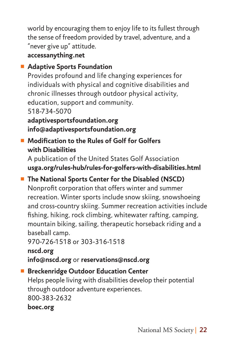world by encouraging them to enjoy life to its fullest through the sense of freedom provided by travel, adventure, and a "never give up" attitude.

**accessanything.net**

#### ■ Adaptive Sports Foundation

Provides profound and life changing experiences for individuals with physical and cognitive disabilities and chronic illnesses through outdoor physical activity, education, support and community. 518-734-5070

**adaptivesportsfoundation.org info@adaptivesportsfoundation.org**

#### <sup>n</sup> **Modification to the Rules of Golf for Golfers with Disabilities**

A publication of the United States Golf Association **usga.org/rules-hub/rules-for-golfers-with-disabilities.html** 

## ■ The National Sports Center for the Disabled (NSCD)

Nonprofit corporation that offers winter and summer recreation. Winter sports include snow skiing, snowshoeing and cross-country skiing. Summer recreation activities include fishing, hiking, rock climbing, whitewater rafting, camping, mountain biking, sailing, therapeutic horseback riding and a baseball camp.

970-726-1518 or 303-316-1518

**nscd.org info@nscd.org** or **reservations@nscd.org**

#### ■ Breckenridge Outdoor Education Center

Helps people living with disabilities develop their potential through outdoor adventure experiences. 800-383-2632

**boec.org**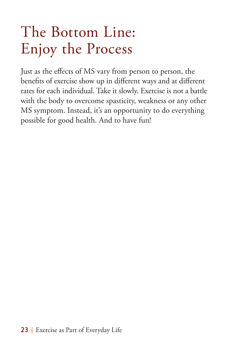## The Bottom Line: Enjoy the Process

Just as the effects of MS vary from person to person, the benefits of exercise show up in different ways and at different rates for each individual. Take it slowly. Exercise is not a battle with the body to overcome spasticity, weakness or any other MS symptom. Instead, it's an opportunity to do everything possible for good health. And to have fun!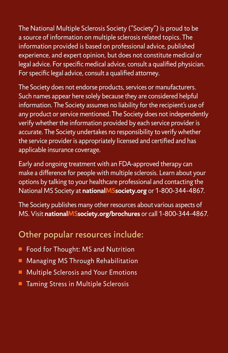The National Multiple Sclerosis Society ("Society") is proud to be a source of information on multiple sclerosis related topics. The information provided is based on professional advice, published experience, and expert opinion, but does not constitute medical or legal advice. For specific medical advice, consult a qualified physician. For specific legal advice, consult a qualified attorney.

The Society does not endorse products, services or manufacturers. Such names appear here solely because they are considered helpful information. The Society assumes no liability for the recipient's use of any product or service mentioned. The Society does not independently verify whether the information provided by each service provider is accurate. The Society undertakes no responsibility to verify whether the service provider is appropriately licensed and certified and has applicable insurance coverage.

Early and ongoing treatment with an FDA-approved therapy can make a difference for people with multiple sclerosis. Learn about your options by talking to your healthcare professional and contacting the National MS Society at **nationalMSsociety.org** or 1-800-344-4867.

The Society publishes many other resources about various aspects of MS. Visit **nationalMSsociety.org/brochures** or call 1-800-344-4867.

#### Other popular resources include:

- Food for Thought: MS and Nutrition
- **nManaging MS Through Rehabilitation**
- Multiple Sclerosis and Your Emotions
- Taming Stress in Multiple Sclerosis